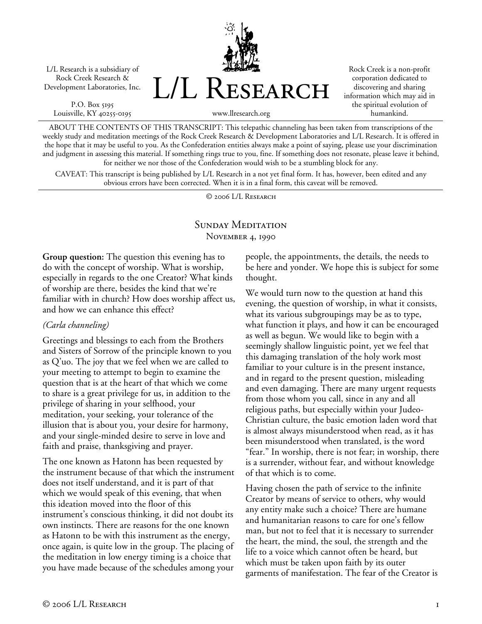L/L Research is a subsidiary of Rock Creek Research & Development Laboratories, Inc.

P.O. Box 5195 Louisville, KY 40255-0195



Rock Creek is a non-profit corporation dedicated to discovering and sharing information which may aid in the spiritual evolution of humankind.

www.llresearch.org

ABOUT THE CONTENTS OF THIS TRANSCRIPT: This telepathic channeling has been taken from transcriptions of the weekly study and meditation meetings of the Rock Creek Research & Development Laboratories and L/L Research. It is offered in the hope that it may be useful to you. As the Confederation entities always make a point of saying, please use your discrimination and judgment in assessing this material. If something rings true to you, fine. If something does not resonate, please leave it behind, for neither we nor those of the Confederation would wish to be a stumbling block for any.

CAVEAT: This transcript is being published by L/L Research in a not yet final form. It has, however, been edited and any obvious errors have been corrected. When it is in a final form, this caveat will be removed.

© 2006 L/L Research

### SUNDAY MEDITATION November 4, 1990

**Group question:** The question this evening has to do with the concept of worship. What is worship, especially in regards to the one Creator? What kinds of worship are there, besides the kind that we're familiar with in church? How does worship affect us, and how we can enhance this effect?

### *(Carla channeling)*

Greetings and blessings to each from the Brothers and Sisters of Sorrow of the principle known to you as Q'uo. The joy that we feel when we are called to your meeting to attempt to begin to examine the question that is at the heart of that which we come to share is a great privilege for us, in addition to the privilege of sharing in your selfhood, your meditation, your seeking, your tolerance of the illusion that is about you, your desire for harmony, and your single-minded desire to serve in love and faith and praise, thanksgiving and prayer.

The one known as Hatonn has been requested by the instrument because of that which the instrument does not itself understand, and it is part of that which we would speak of this evening, that when this ideation moved into the floor of this instrument's conscious thinking, it did not doubt its own instincts. There are reasons for the one known as Hatonn to be with this instrument as the energy, once again, is quite low in the group. The placing of the meditation in low energy timing is a choice that you have made because of the schedules among your

people, the appointments, the details, the needs to be here and yonder. We hope this is subject for some thought.

We would turn now to the question at hand this evening, the question of worship, in what it consists, what its various subgroupings may be as to type, what function it plays, and how it can be encouraged as well as begun. We would like to begin with a seemingly shallow linguistic point, yet we feel that this damaging translation of the holy work most familiar to your culture is in the present instance, and in regard to the present question, misleading and even damaging. There are many urgent requests from those whom you call, since in any and all religious paths, but especially within your Judeo-Christian culture, the basic emotion laden word that is almost always misunderstood when read, as it has been misunderstood when translated, is the word "fear." In worship, there is not fear; in worship, there is a surrender, without fear, and without knowledge of that which is to come.

Having chosen the path of service to the infinite Creator by means of service to others, why would any entity make such a choice? There are humane and humanitarian reasons to care for one's fellow man, but not to feel that it is necessary to surrender the heart, the mind, the soul, the strength and the life to a voice which cannot often be heard, but which must be taken upon faith by its outer garments of manifestation. The fear of the Creator is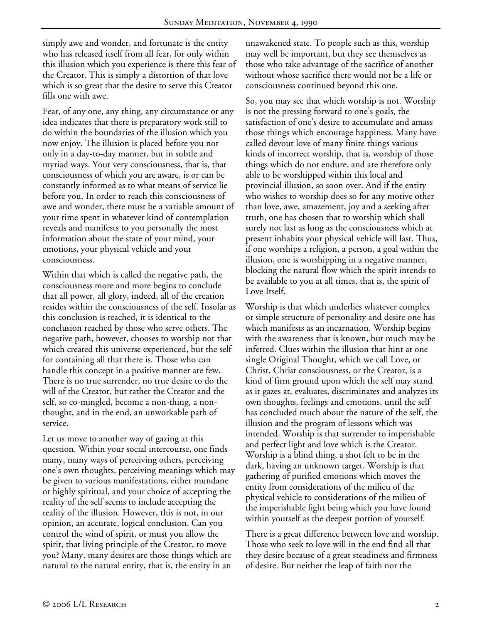simply awe and wonder, and fortunate is the entity who has released itself from all fear, for only within this illusion which you experience is there this fear of the Creator. This is simply a distortion of that love which is so great that the desire to serve this Creator fills one with awe.

Fear, of any one, any thing, any circumstance or any idea indicates that there is preparatory work still to do within the boundaries of the illusion which you now enjoy. The illusion is placed before you not only in a day-to-day manner, but in subtle and myriad ways. Your very consciousness, that is, that consciousness of which you are aware, is or can be constantly informed as to what means of service lie before you. In order to reach this consciousness of awe and wonder, there must be a variable amount of your time spent in whatever kind of contemplation reveals and manifests to you personally the most information about the state of your mind, your emotions, your physical vehicle and your consciousness.

Within that which is called the negative path, the consciousness more and more begins to conclude that all power, all glory, indeed, all of the creation resides within the consciousness of the self. Insofar as this conclusion is reached, it is identical to the conclusion reached by those who serve others. The negative path, however, chooses to worship not that which created this universe experienced, but the self for containing all that there is. Those who can handle this concept in a positive manner are few. There is no true surrender, no true desire to do the will of the Creator, but rather the Creator and the self, so co-mingled, become a non-thing, a nonthought, and in the end, an unworkable path of service.

Let us move to another way of gazing at this question. Within your social intercourse, one finds many, many ways of perceiving others, perceiving one's own thoughts, perceiving meanings which may be given to various manifestations, either mundane or highly spiritual, and your choice of accepting the reality of the self seems to include accepting the reality of the illusion. However, this is not, in our opinion, an accurate, logical conclusion. Can you control the wind of spirit, or must you allow the spirit, that living principle of the Creator, to move you? Many, many desires are those things which are natural to the natural entity, that is, the entity in an

unawakened state. To people such as this, worship may well be important, but they see themselves as those who take advantage of the sacrifice of another without whose sacrifice there would not be a life or consciousness continued beyond this one.

So, you may see that which worship is not. Worship is not the pressing forward to one's goals, the satisfaction of one's desire to accumulate and amass those things which encourage happiness. Many have called devout love of many finite things various kinds of incorrect worship, that is, worship of those things which do not endure, and are therefore only able to be worshipped within this local and provincial illusion, so soon over. And if the entity who wishes to worship does so for any motive other than love, awe, amazement, joy and a seeking after truth, one has chosen that to worship which shall surely not last as long as the consciousness which at present inhabits your physical vehicle will last. Thus, if one worships a religion, a person, a goal within the illusion, one is worshipping in a negative manner, blocking the natural flow which the spirit intends to be available to you at all times, that is, the spirit of Love Itself.

Worship is that which underlies whatever complex or simple structure of personality and desire one has which manifests as an incarnation. Worship begins with the awareness that is known, but much may be inferred. Clues within the illusion that hint at one single Original Thought, which we call Love, or Christ, Christ consciousness, or the Creator, is a kind of firm ground upon which the self may stand as it gazes at, evaluates, discriminates and analyzes its own thoughts, feelings and emotions, until the self has concluded much about the nature of the self, the illusion and the program of lessons which was intended. Worship is that surrender to imperishable and perfect light and love which is the Creator. Worship is a blind thing, a shot felt to be in the dark, having an unknown target. Worship is that gathering of purified emotions which moves the entity from considerations of the milieu of the physical vehicle to considerations of the milieu of the imperishable light being which you have found within yourself as the deepest portion of yourself.

There is a great difference between love and worship. Those who seek to love will in the end find all that they desire because of a great steadiness and firmness of desire. But neither the leap of faith nor the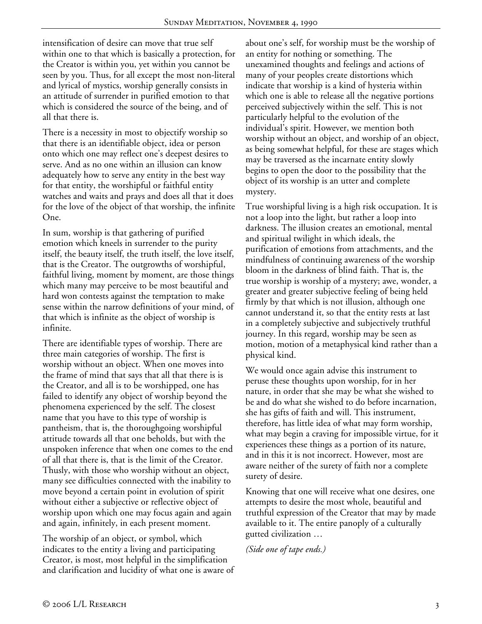intensification of desire can move that true self within one to that which is basically a protection, for the Creator is within you, yet within you cannot be seen by you. Thus, for all except the most non-literal and lyrical of mystics, worship generally consists in an attitude of surrender in purified emotion to that which is considered the source of the being, and of all that there is.

There is a necessity in most to objectify worship so that there is an identifiable object, idea or person onto which one may reflect one's deepest desires to serve. And as no one within an illusion can know adequately how to serve any entity in the best way for that entity, the worshipful or faithful entity watches and waits and prays and does all that it does for the love of the object of that worship, the infinite One.

In sum, worship is that gathering of purified emotion which kneels in surrender to the purity itself, the beauty itself, the truth itself, the love itself, that is the Creator. The outgrowths of worshipful, faithful living, moment by moment, are those things which many may perceive to be most beautiful and hard won contests against the temptation to make sense within the narrow definitions of your mind, of that which is infinite as the object of worship is infinite.

There are identifiable types of worship. There are three main categories of worship. The first is worship without an object. When one moves into the frame of mind that says that all that there is is the Creator, and all is to be worshipped, one has failed to identify any object of worship beyond the phenomena experienced by the self. The closest name that you have to this type of worship is pantheism, that is, the thoroughgoing worshipful attitude towards all that one beholds, but with the unspoken inference that when one comes to the end of all that there is, that is the limit of the Creator. Thusly, with those who worship without an object, many see difficulties connected with the inability to move beyond a certain point in evolution of spirit without either a subjective or reflective object of worship upon which one may focus again and again and again, infinitely, in each present moment.

The worship of an object, or symbol, which indicates to the entity a living and participating Creator, is most, most helpful in the simplification and clarification and lucidity of what one is aware of about one's self, for worship must be the worship of an entity for nothing or something. The unexamined thoughts and feelings and actions of many of your peoples create distortions which indicate that worship is a kind of hysteria within which one is able to release all the negative portions perceived subjectively within the self. This is not particularly helpful to the evolution of the individual's spirit. However, we mention both worship without an object, and worship of an object, as being somewhat helpful, for these are stages which may be traversed as the incarnate entity slowly begins to open the door to the possibility that the object of its worship is an utter and complete mystery.

True worshipful living is a high risk occupation. It is not a loop into the light, but rather a loop into darkness. The illusion creates an emotional, mental and spiritual twilight in which ideals, the purification of emotions from attachments, and the mindfulness of continuing awareness of the worship bloom in the darkness of blind faith. That is, the true worship is worship of a mystery; awe, wonder, a greater and greater subjective feeling of being held firmly by that which is not illusion, although one cannot understand it, so that the entity rests at last in a completely subjective and subjectively truthful journey. In this regard, worship may be seen as motion, motion of a metaphysical kind rather than a physical kind.

We would once again advise this instrument to peruse these thoughts upon worship, for in her nature, in order that she may be what she wished to be and do what she wished to do before incarnation, she has gifts of faith and will. This instrument, therefore, has little idea of what may form worship, what may begin a craving for impossible virtue, for it experiences these things as a portion of its nature, and in this it is not incorrect. However, most are aware neither of the surety of faith nor a complete surety of desire.

Knowing that one will receive what one desires, one attempts to desire the most whole, beautiful and truthful expression of the Creator that may by made available to it. The entire panoply of a culturally gutted civilization …

*(Side one of tape ends.)*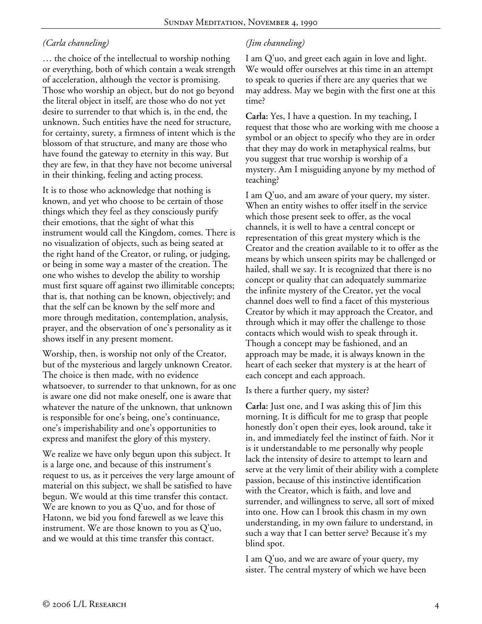## *(Carla channeling)*

… the choice of the intellectual to worship nothing or everything, both of which contain a weak strength of acceleration, although the vector is promising. Those who worship an object, but do not go beyond the literal object in itself, are those who do not yet desire to surrender to that which is, in the end, the unknown. Such entities have the need for structure, for certainty, surety, a firmness of intent which is the blossom of that structure, and many are those who have found the gateway to eternity in this way. But they are few, in that they have not become universal in their thinking, feeling and acting process.

It is to those who acknowledge that nothing is known, and yet who choose to be certain of those things which they feel as they consciously purify their emotions, that the sight of what this instrument would call the Kingdom, comes. There is no visualization of objects, such as being seated at the right hand of the Creator, or ruling, or judging, or being in some way a master of the creation. The one who wishes to develop the ability to worship must first square off against two illimitable concepts; that is, that nothing can be known, objectively; and that the self can be known by the self more and more through meditation, contemplation, analysis, prayer, and the observation of one's personality as it shows itself in any present moment.

Worship, then, is worship not only of the Creator, but of the mysterious and largely unknown Creator. The choice is then made, with no evidence whatsoever, to surrender to that unknown, for as one is aware one did not make oneself, one is aware that whatever the nature of the unknown, that unknown is responsible for one's being, one's continuance, one's imperishability and one's opportunities to express and manifest the glory of this mystery.

We realize we have only begun upon this subject. It is a large one, and because of this instrument's request to us, as it perceives the very large amount of material on this subject, we shall be satisfied to have begun. We would at this time transfer this contact. We are known to you as Q'uo, and for those of Hatonn, we bid you fond farewell as we leave this instrument. We are those known to you as Q'uo, and we would at this time transfer this contact.

# *(Jim channeling)*

I am Q'uo, and greet each again in love and light. We would offer ourselves at this time in an attempt to speak to queries if there are any queries that we may address. May we begin with the first one at this time?

**Carla:** Yes, I have a question. In my teaching, I request that those who are working with me choose a symbol or an object to specify who they are in order that they may do work in metaphysical realms, but you suggest that true worship is worship of a mystery. Am I misguiding anyone by my method of teaching?

I am Q'uo, and am aware of your query, my sister. When an entity wishes to offer itself in the service which those present seek to offer, as the vocal channels, it is well to have a central concept or representation of this great mystery which is the Creator and the creation available to it to offer as the means by which unseen spirits may be challenged or hailed, shall we say. It is recognized that there is no concept or quality that can adequately summarize the infinite mystery of the Creator, yet the vocal channel does well to find a facet of this mysterious Creator by which it may approach the Creator, and through which it may offer the challenge to those contacts which would wish to speak through it. Though a concept may be fashioned, and an approach may be made, it is always known in the heart of each seeker that mystery is at the heart of each concept and each approach.

Is there a further query, my sister?

**Carla:** Just one, and I was asking this of Jim this morning. It is difficult for me to grasp that people honestly don't open their eyes, look around, take it in, and immediately feel the instinct of faith. Nor it is it understandable to me personally why people lack the intensity of desire to attempt to learn and serve at the very limit of their ability with a complete passion, because of this instinctive identification with the Creator, which is faith, and love and surrender, and willingness to serve, all sort of mixed into one. How can I brook this chasm in my own understanding, in my own failure to understand, in such a way that I can better serve? Because it's my blind spot.

I am Q'uo, and we are aware of your query, my sister. The central mystery of which we have been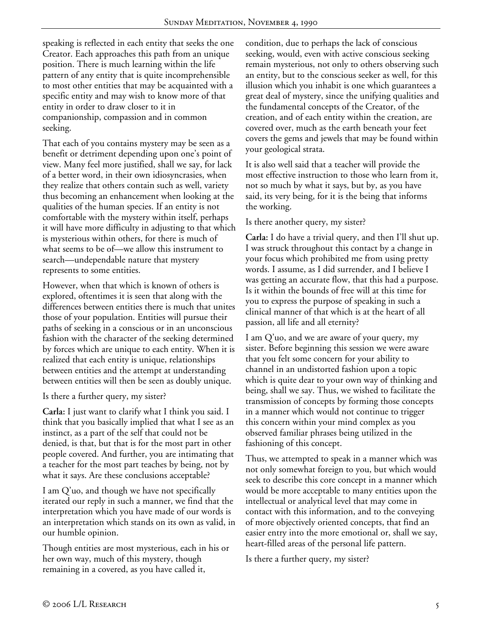speaking is reflected in each entity that seeks the one Creator. Each approaches this path from an unique position. There is much learning within the life pattern of any entity that is quite incomprehensible to most other entities that may be acquainted with a specific entity and may wish to know more of that entity in order to draw closer to it in companionship, compassion and in common seeking.

That each of you contains mystery may be seen as a benefit or detriment depending upon one's point of view. Many feel more justified, shall we say, for lack of a better word, in their own idiosyncrasies, when they realize that others contain such as well, variety thus becoming an enhancement when looking at the qualities of the human species. If an entity is not comfortable with the mystery within itself, perhaps it will have more difficulty in adjusting to that which is mysterious within others, for there is much of what seems to be of—we allow this instrument to search—undependable nature that mystery represents to some entities.

However, when that which is known of others is explored, oftentimes it is seen that along with the differences between entities there is much that unites those of your population. Entities will pursue their paths of seeking in a conscious or in an unconscious fashion with the character of the seeking determined by forces which are unique to each entity. When it is realized that each entity is unique, relationships between entities and the attempt at understanding between entities will then be seen as doubly unique.

Is there a further query, my sister?

**Carla:** I just want to clarify what I think you said. I think that you basically implied that what I see as an instinct, as a part of the self that could not be denied, is that, but that is for the most part in other people covered. And further, you are intimating that a teacher for the most part teaches by being, not by what it says. Are these conclusions acceptable?

I am Q'uo, and though we have not specifically iterated our reply in such a manner, we find that the interpretation which you have made of our words is an interpretation which stands on its own as valid, in our humble opinion.

Though entities are most mysterious, each in his or her own way, much of this mystery, though remaining in a covered, as you have called it,

condition, due to perhaps the lack of conscious seeking, would, even with active conscious seeking remain mysterious, not only to others observing such an entity, but to the conscious seeker as well, for this illusion which you inhabit is one which guarantees a great deal of mystery, since the unifying qualities and the fundamental concepts of the Creator, of the creation, and of each entity within the creation, are covered over, much as the earth beneath your feet covers the gems and jewels that may be found within your geological strata.

It is also well said that a teacher will provide the most effective instruction to those who learn from it, not so much by what it says, but by, as you have said, its very being, for it is the being that informs the working.

Is there another query, my sister?

**Carla:** I do have a trivial query, and then I'll shut up. I was struck throughout this contact by a change in your focus which prohibited me from using pretty words. I assume, as I did surrender, and I believe I was getting an accurate flow, that this had a purpose. Is it within the bounds of free will at this time for you to express the purpose of speaking in such a clinical manner of that which is at the heart of all passion, all life and all eternity?

I am Q'uo, and we are aware of your query, my sister. Before beginning this session we were aware that you felt some concern for your ability to channel in an undistorted fashion upon a topic which is quite dear to your own way of thinking and being, shall we say. Thus, we wished to facilitate the transmission of concepts by forming those concepts in a manner which would not continue to trigger this concern within your mind complex as you observed familiar phrases being utilized in the fashioning of this concept.

Thus, we attempted to speak in a manner which was not only somewhat foreign to you, but which would seek to describe this core concept in a manner which would be more acceptable to many entities upon the intellectual or analytical level that may come in contact with this information, and to the conveying of more objectively oriented concepts, that find an easier entry into the more emotional or, shall we say, heart-filled areas of the personal life pattern.

Is there a further query, my sister?